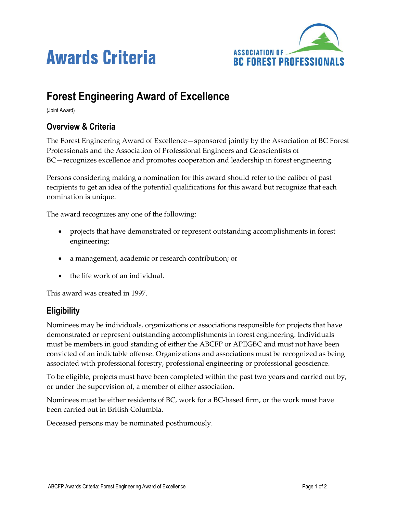



# **Forest Engineering Award of Excellence**

(Joint Award)

## **Overview & Criteria**

The Forest Engineering Award of Excellence—sponsored jointly by the Association of BC Forest Professionals and the Association of Professional Engineers and Geoscientists of BC—recognizes excellence and promotes cooperation and leadership in forest engineering.

Persons considering making a nomination for this award should refer to the caliber of past recipients to get an idea of the potential qualifications for this award but recognize that each nomination is unique.

The award recognizes any one of the following:

- projects that have demonstrated or represent outstanding accomplishments in forest engineering;
- a management, academic or research contribution; or
- the life work of an individual.

This award was created in 1997.

## **Eligibility**

Nominees may be individuals, organizations or associations responsible for projects that have demonstrated or represent outstanding accomplishments in forest engineering. Individuals must be members in good standing of either the ABCFP or APEGBC and must not have been convicted of an indictable offense. Organizations and associations must be recognized as being associated with professional forestry, professional engineering or professional geoscience.

To be eligible, projects must have been completed within the past two years and carried out by, or under the supervision of, a member of either association.

Nominees must be either residents of BC, work for a BC-based firm, or the work must have been carried out in British Columbia.

Deceased persons may be nominated posthumously.